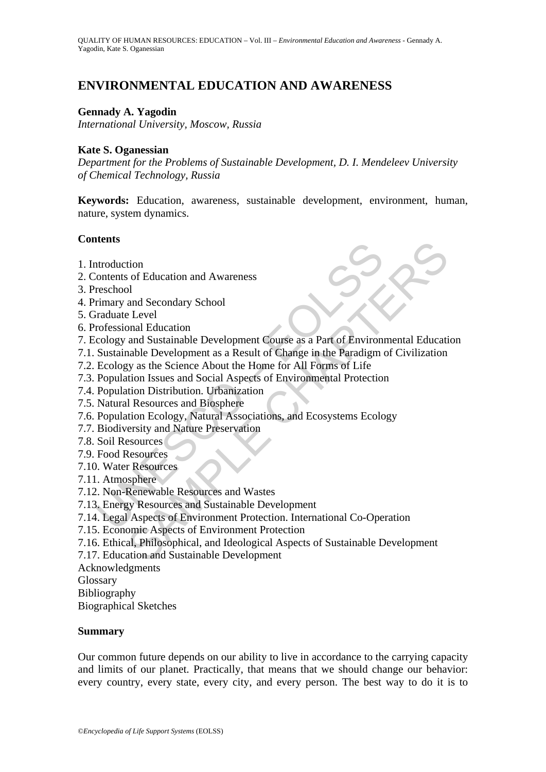# **ENVIRONMENTAL EDUCATION AND AWARENESS**

#### **Gennady A. Yagodin**

*International University, Moscow, Russia* 

#### **Kate S. Oganessian**

*Department for the Problems of Sustainable Development, D. I. Mendeleev University of Chemical Technology, Russia* 

**Keywords:** Education, awareness, sustainable development, environment, human, nature, system dynamics.

#### **Contents**

- 1. Introduction
- 2. Contents of Education and Awareness
- 3. Preschool
- 4. Primary and Secondary School
- 5. Graduate Level
- 6. Professional Education
- According and Secondary School<br>Transman and Secondary School<br>Transman and Secondary School<br>Transman and Secondary School<br>Transman and Secondary School<br>Transmannial Education<br>Cology and Sustainable Development Course as a P tion<br>
so f Education and Awareness<br>
so f Education<br>
and Secondary School<br>
and Sustainable Development Course as a Part of Environmental Education<br>
and Sustainable Development as a Result of Change in the Paradigm of Civili 7. Ecology and Sustainable Development Course as a Part of Environmental Education
- 7.1. Sustainable Development as a Result of Change in the Paradigm of Civilization
- 7.2. Ecology as the Science About the Home for All Forms of Life
- 7.3. Population Issues and Social Aspects of Environmental Protection
- 7.4. Population Distribution. Urbanization
- 7.5. Natural Resources and Biosphere
- 7.6. Population Ecology, Natural Associations, and Ecosystems Ecology
- 7.7. Biodiversity and Nature Preservation
- 7.8. Soil Resources
- 7.9. Food Resources
- 7.10. Water Resources
- 7.11. Atmosphere
- 7.12. Non-Renewable Resources and Wastes
- 7.13. Energy Resources and Sustainable Development
- 7.14. Legal Aspects of Environment Protection. International Co-Operation
- 7.15. Economic Aspects of Environment Protection
- 7.16. Ethical, Philosophical, and Ideological Aspects of Sustainable Development
- 7.17. Education and Sustainable Development
- Acknowledgments
- Glossary
- Bibliography

Biographical Sketches

#### **Summary**

Our common future depends on our ability to live in accordance to the carrying capacity and limits of our planet. Practically, that means that we should change our behavior: every country, every state, every city, and every person. The best way to do it is to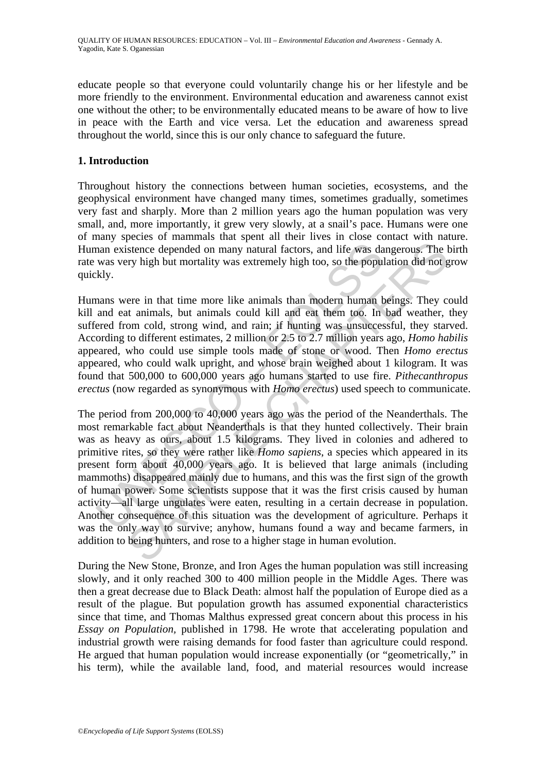educate people so that everyone could voluntarily change his or her lifestyle and be more friendly to the environment. Environmental education and awareness cannot exist one without the other; to be environmentally educated means to be aware of how to live in peace with the Earth and vice versa. Let the education and awareness spread throughout the world, since this is our only chance to safeguard the future.

### **1. Introduction**

Throughout history the connections between human societies, ecosystems, and the geophysical environment have changed many times, sometimes gradually, sometimes very fast and sharply. More than 2 million years ago the human population was very small, and, more importantly, it grew very slowly, at a snail's pace. Humans were one of many species of mammals that spent all their lives in close contact with nature. Human existence depended on many natural factors, and life was dangerous. The birth rate was very high but mortality was extremely high too, so the population did not grow quickly.

Humans were in that time more like animals than modern human beings. They could kill and eat animals, but animals could kill and eat them too. In bad weather, they suffered from cold, strong wind, and rain; if hunting was unsuccessful, they starved. According to different estimates, 2 million or 2.5 to 2.7 million years ago, *Homo habilis* appeared, who could use simple tools made of stone or wood. Then *Homo erectus* appeared, who could walk upright, and whose brain weighed about 1 kilogram. It was found that 500,000 to 600,000 years ago humans started to use fire. *Pithecanthropus erectus* (now regarded as synonymous with *Homo erectus*) used speech to communicate.

man existence depended on many natural factors, and life was da<br>was very high but mortality was extremely high too, so the popul<br>kly.<br>The was very high but mortality was extremely high too, so the popul<br>kly.<br>The was vere Fraction can be whow and also may have a more in the most of the system of the system depended on many natural factors, and life was dangerous. The typ high but mortality was extremely high too, so the population did not The period from 200,000 to 40,000 years ago was the period of the Neanderthals. The most remarkable fact about Neanderthals is that they hunted collectively. Their brain was as heavy as ours, about 1.5 kilograms. They lived in colonies and adhered to primitive rites, so they were rather like *Homo sapiens*, a species which appeared in its present form about 40,000 years ago. It is believed that large animals (including mammoths) disappeared mainly due to humans, and this was the first sign of the growth of human power. Some scientists suppose that it was the first crisis caused by human activity—all large ungulates were eaten, resulting in a certain decrease in population. Another consequence of this situation was the development of agriculture. Perhaps it was the only way to survive; anyhow, humans found a way and became farmers, in addition to being hunters, and rose to a higher stage in human evolution.

During the New Stone, Bronze, and Iron Ages the human population was still increasing slowly, and it only reached 300 to 400 million people in the Middle Ages. There was then a great decrease due to Black Death: almost half the population of Europe died as a result of the plague. But population growth has assumed exponential characteristics since that time, and Thomas Malthus expressed great concern about this process in his *Essay on Population,* published in 1798. He wrote that accelerating population and industrial growth were raising demands for food faster than agriculture could respond. He argued that human population would increase exponentially (or "geometrically," in his term), while the available land, food, and material resources would increase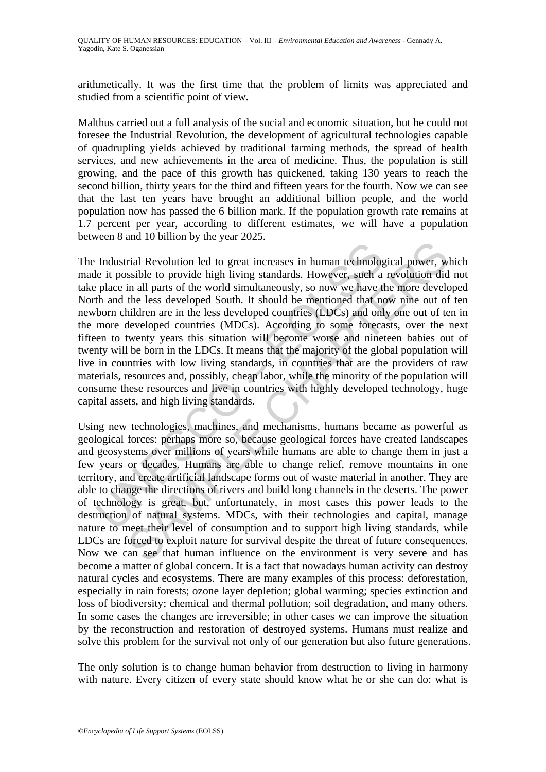arithmetically. It was the first time that the problem of limits was appreciated and studied from a scientific point of view.

Malthus carried out a full analysis of the social and economic situation, but he could not foresee the Industrial Revolution, the development of agricultural technologies capable of quadrupling yields achieved by traditional farming methods, the spread of health services, and new achievements in the area of medicine. Thus, the population is still growing, and the pace of this growth has quickened, taking 130 years to reach the second billion, thirty years for the third and fifteen years for the fourth. Now we can see that the last ten years have brought an additional billion people, and the world population now has passed the 6 billion mark. If the population growth rate remains at 1.7 percent per year, according to different estimates, we will have a population between 8 and 10 billion by the year 2025.

Industrial Revolution led or great increases in human technologie it possible to provide high living standards. However, such a place in all parts of the world simultaneously, so now we have the hand the less developed Sou Trail Revolution led to great increases in human technological power, wial sessible to provide high living standards. However, such a revolution dial in all parts of the world simultaneously, so now we have the more develo The Industrial Revolution led to great increases in human technological power, which made it possible to provide high living standards. However, such a revolution did not take place in all parts of the world simultaneously, so now we have the more developed North and the less developed South. It should be mentioned that now nine out of ten newborn children are in the less developed countries (LDCs) and only one out of ten in the more developed countries (MDCs). According to some forecasts, over the next fifteen to twenty years this situation will become worse and nineteen babies out of twenty will be born in the LDCs. It means that the majority of the global population will live in countries with low living standards, in countries that are the providers of raw materials, resources and, possibly, cheap labor, while the minority of the population will consume these resources and live in countries with highly developed technology, huge capital assets, and high living standards.

Using new technologies, machines, and mechanisms, humans became as powerful as geological forces: perhaps more so, because geological forces have created landscapes and geosystems over millions of years while humans are able to change them in just a few years or decades. Humans are able to change relief, remove mountains in one territory, and create artificial landscape forms out of waste material in another. They are able to change the directions of rivers and build long channels in the deserts. The power of technology is great, but, unfortunately, in most cases this power leads to the destruction of natural systems. MDCs, with their technologies and capital, manage nature to meet their level of consumption and to support high living standards, while LDCs are forced to exploit nature for survival despite the threat of future consequences. Now we can see that human influence on the environment is very severe and has become a matter of global concern. It is a fact that nowadays human activity can destroy natural cycles and ecosystems. There are many examples of this process: deforestation, especially in rain forests; ozone layer depletion; global warming; species extinction and loss of biodiversity; chemical and thermal pollution; soil degradation, and many others. In some cases the changes are irreversible; in other cases we can improve the situation by the reconstruction and restoration of destroyed systems. Humans must realize and solve this problem for the survival not only of our generation but also future generations.

The only solution is to change human behavior from destruction to living in harmony with nature. Every citizen of every state should know what he or she can do: what is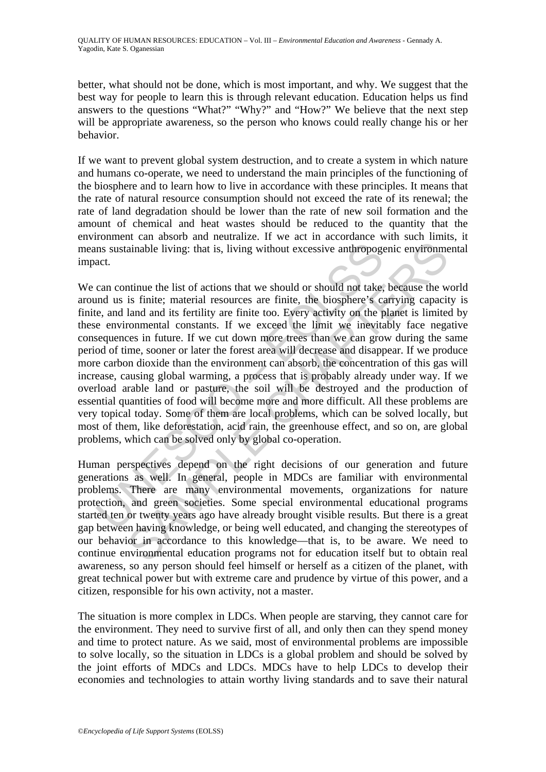better, what should not be done, which is most important, and why. We suggest that the best way for people to learn this is through relevant education. Education helps us find answers to the questions "What?" "Why?" and "How?" We believe that the next step will be appropriate awareness, so the person who knows could really change his or her behavior.

If we want to prevent global system destruction, and to create a system in which nature and humans co-operate, we need to understand the main principles of the functioning of the biosphere and to learn how to live in accordance with these principles. It means that the rate of natural resource consumption should not exceed the rate of its renewal; the rate of land degradation should be lower than the rate of new soil formation and the amount of chemical and heat wastes should be reduced to the quantity that the environment can absorb and neutralize. If we act in accordance with such limits, it means sustainable living: that is, living without excessive anthropogenic environmental impact.

and sustainable living: that is, living without excessive anthropogy<br>act.<br>can continue the list of actions that we should or should not take,<br>e, e, and land and its fertility are finite too. Every activity on the per-<br>e en ainable living: that is, living without excessive anthropogenic environmentanable living: that is, living without excessive anthropogenic environmental on<br>standard and its fertility are finite too. Every activity on the pl We can continue the list of actions that we should or should not take, because the world around us is finite; material resources are finite, the biosphere's carrying capacity is finite, and land and its fertility are finite too. Every activity on the planet is limited by these environmental constants. If we exceed the limit we inevitably face negative consequences in future. If we cut down more trees than we can grow during the same period of time, sooner or later the forest area will decrease and disappear. If we produce more carbon dioxide than the environment can absorb, the concentration of this gas will increase, causing global warming, a process that is probably already under way. If we overload arable land or pasture, the soil will be destroyed and the production of essential quantities of food will become more and more difficult. All these problems are very topical today. Some of them are local problems, which can be solved locally, but most of them, like deforestation, acid rain, the greenhouse effect, and so on, are global problems, which can be solved only by global co-operation.

Human perspectives depend on the right decisions of our generation and future generations as well. In general, people in MDCs are familiar with environmental problems. There are many environmental movements, organizations for nature protection, and green societies. Some special environmental educational programs started ten or twenty years ago have already brought visible results. But there is a great gap between having knowledge, or being well educated, and changing the stereotypes of our behavior in accordance to this knowledge—that is, to be aware. We need to continue environmental education programs not for education itself but to obtain real awareness, so any person should feel himself or herself as a citizen of the planet, with great technical power but with extreme care and prudence by virtue of this power, and a citizen, responsible for his own activity, not a master.

The situation is more complex in LDCs. When people are starving, they cannot care for the environment. They need to survive first of all, and only then can they spend money and time to protect nature. As we said, most of environmental problems are impossible to solve locally, so the situation in LDCs is a global problem and should be solved by the joint efforts of MDCs and LDCs. MDCs have to help LDCs to develop their economies and technologies to attain worthy living standards and to save their natural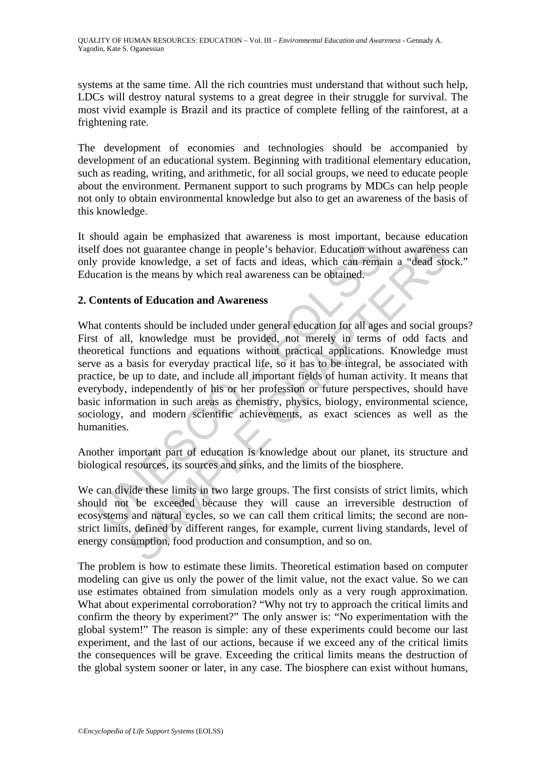systems at the same time. All the rich countries must understand that without such help, LDCs will destroy natural systems to a great degree in their struggle for survival. The most vivid example is Brazil and its practice of complete felling of the rainforest, at a frightening rate.

The development of economies and technologies should be accompanied by development of an educational system. Beginning with traditional elementary education, such as reading, writing, and arithmetic, for all social groups, we need to educate people about the environment. Permanent support to such programs by MDCs can help people not only to obtain environmental knowledge but also to get an awareness of the basis of this knowledge.

It should again be emphasized that awareness is most important, because education itself does not guarantee change in people's behavior. Education without awareness can only provide knowledge, a set of facts and ideas, which can remain a "dead stock." Education is the means by which real awareness can be obtained.

## **2. Contents of Education and Awareness**

If does not guarantee change in people's behavior. Education with<br>
y provide knowledge, a set of facts and ideas, which can rema<br>
cation is the means by which real awareness can be obtained.<br>
Contents of Education and Awar structure change in a warehable and interest of most interest of most distinct change in people's behavior. Education without awareness<br>de knowledge, a set of facts and ideas, which can remain a "dead sto<br>is the means by w What contents should be included under general education for all ages and social groups? First of all, knowledge must be provided, not merely in terms of odd facts and theoretical functions and equations without practical applications. Knowledge must serve as a basis for everyday practical life, so it has to be integral, be associated with practice, be up to date, and include all important fields of human activity. It means that everybody, independently of his or her profession or future perspectives, should have basic information in such areas as chemistry, physics, biology, environmental science, sociology, and modern scientific achievements, as exact sciences as well as the humanities.

Another important part of education is knowledge about our planet, its structure and biological resources, its sources and sinks, and the limits of the biosphere.

We can divide these limits in two large groups. The first consists of strict limits, which should not be exceeded because they will cause an irreversible destruction of ecosystems and natural cycles, so we can call them critical limits; the second are nonstrict limits, defined by different ranges, for example, current living standards, level of energy consumption, food production and consumption, and so on.

The problem is how to estimate these limits. Theoretical estimation based on computer modeling can give us only the power of the limit value, not the exact value. So we can use estimates obtained from simulation models only as a very rough approximation. What about experimental corroboration? "Why not try to approach the critical limits and confirm the theory by experiment?" The only answer is: "No experimentation with the global system!" The reason is simple: any of these experiments could become our last experiment, and the last of our actions, because if we exceed any of the critical limits the consequences will be grave. Exceeding the critical limits means the destruction of the global system sooner or later, in any case. The biosphere can exist without humans,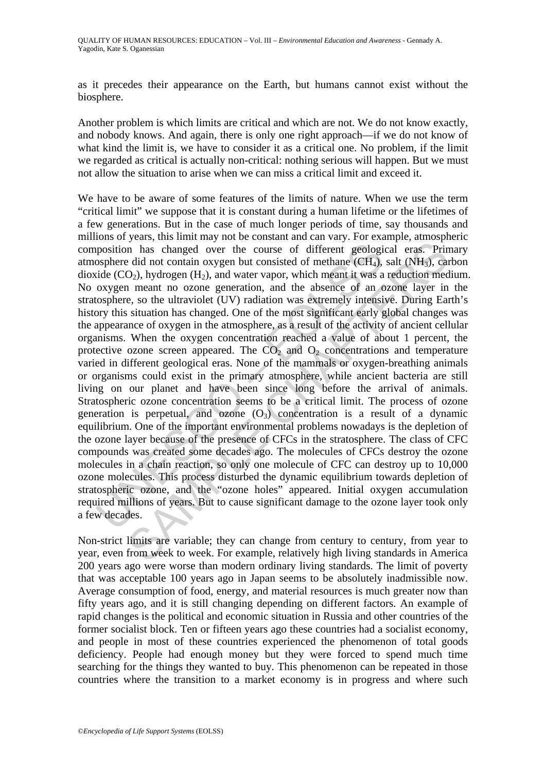as it precedes their appearance on the Earth, but humans cannot exist without the biosphere.

Another problem is which limits are critical and which are not. We do not know exactly, and nobody knows. And again, there is only one right approach—if we do not know of what kind the limit is, we have to consider it as a critical one. No problem, if the limit we regarded as critical is actually non-critical: nothing serious will happen. But we must not allow the situation to arise when we can miss a critical limit and exceed it.

position has changed over the course of different geologi<br>osphere did not contain oxygen but consisted of methane (CH<sub>4</sub>),<br>cide (CO<sub>2</sub>), hydrogen (H<sub>2</sub>), and water vapor, which meant it was a<br>oxygen meant no ozone generat From the contract of methanic material and the course of different geological eras. Princh and we can be did not contain oxygen but consisted of methane (CH<sub>A</sub>), salt (NH<sub>3</sub>), cat  $0_2$ ), hydrogen (H<sub>2</sub>), and water vapor, We have to be aware of some features of the limits of nature. When we use the term "critical limit" we suppose that it is constant during a human lifetime or the lifetimes of a few generations. But in the case of much longer periods of time, say thousands and millions of years, this limit may not be constant and can vary. For example, atmospheric composition has changed over the course of different geological eras. Primary atmosphere did not contain oxygen but consisted of methane  $(CH<sub>4</sub>)$ , salt  $(NH<sub>3</sub>)$ , carbon dioxide  $(CO<sub>2</sub>)$ , hydrogen  $(H<sub>2</sub>)$ , and water vapor, which meant it was a reduction medium. No oxygen meant no ozone generation, and the absence of an ozone layer in the stratosphere, so the ultraviolet (UV) radiation was extremely intensive. During Earth's history this situation has changed. One of the most significant early global changes was the appearance of oxygen in the atmosphere, as a result of the activity of ancient cellular organisms. When the oxygen concentration reached a value of about 1 percent, the protective ozone screen appeared. The  $CO<sub>2</sub>$  and  $O<sub>2</sub>$  concentrations and temperature varied in different geological eras. None of the mammals or oxygen-breathing animals or organisms could exist in the primary atmosphere, while ancient bacteria are still living on our planet and have been since long before the arrival of animals. Stratospheric ozone concentration seems to be a critical limit. The process of ozone generation is perpetual, and ozone  $(O_3)$  concentration is a result of a dynamic equilibrium. One of the important environmental problems nowadays is the depletion of the ozone layer because of the presence of CFCs in the stratosphere. The class of CFC compounds was created some decades ago. The molecules of CFCs destroy the ozone molecules in a chain reaction, so only one molecule of CFC can destroy up to 10,000 ozone molecules. This process disturbed the dynamic equilibrium towards depletion of stratospheric ozone, and the "ozone holes" appeared. Initial oxygen accumulation required millions of years. But to cause significant damage to the ozone layer took only a few decades.

Non-strict limits are variable; they can change from century to century, from year to year, even from week to week. For example, relatively high living standards in America 200 years ago were worse than modern ordinary living standards. The limit of poverty that was acceptable 100 years ago in Japan seems to be absolutely inadmissible now. Average consumption of food, energy, and material resources is much greater now than fifty years ago, and it is still changing depending on different factors. An example of rapid changes is the political and economic situation in Russia and other countries of the former socialist block. Ten or fifteen years ago these countries had a socialist economy, and people in most of these countries experienced the phenomenon of total goods deficiency. People had enough money but they were forced to spend much time searching for the things they wanted to buy. This phenomenon can be repeated in those countries where the transition to a market economy is in progress and where such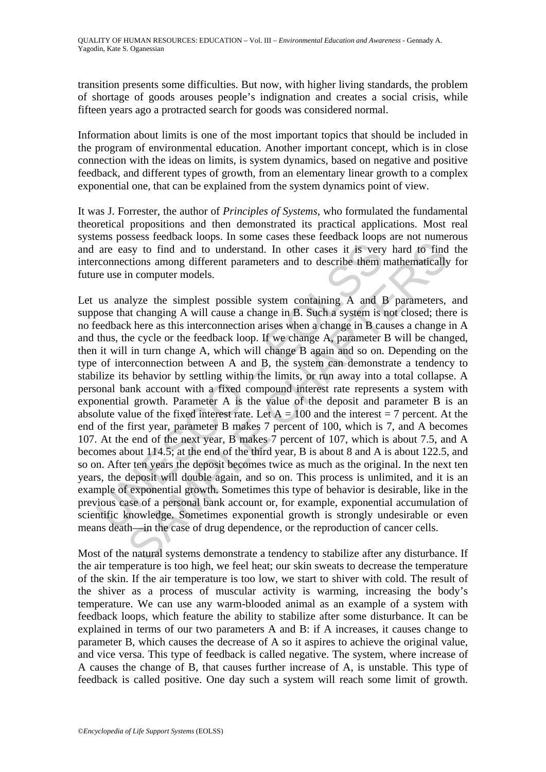transition presents some difficulties. But now, with higher living standards, the problem of shortage of goods arouses people's indignation and creates a social crisis, while fifteen years ago a protracted search for goods was considered normal.

Information about limits is one of the most important topics that should be included in the program of environmental education. Another important concept, which is in close connection with the ideas on limits, is system dynamics, based on negative and positive feedback, and different types of growth, from an elementary linear growth to a complex exponential one, that can be explained from the system dynamics point of view.

It was J. Forrester, the author of *Principles of Systems*, who formulated the fundamental theoretical propositions and then demonstrated its practical applications. Most real systems possess feedback loops. In some cases these feedback loops are not numerous and are easy to find and to understand. In other cases it is very hard to find the interconnections among different parameters and to describe them mathematically for future use in computer models.

are easy to find and to understand. In other cases it is very<br>cronnections among different parameters and to describe them<br>re use in computer models.<br>us analyze the simplest possible system containing A and I<br>osee that ch sizy to find and to understand. In other cases in Several model, and its uniform anony different parameters and to describe them mathematically in computer models.<br>In computer models.<br>In computer models.<br>In computer model Let us analyze the simplest possible system containing A and B parameters, and suppose that changing A will cause a change in B. Such a system is not closed; there is no feedback here as this interconnection arises when a change in B causes a change in A and thus, the cycle or the feedback loop. If we change A, parameter B will be changed, then it will in turn change A, which will change B again and so on. Depending on the type of interconnection between A and B, the system can demonstrate a tendency to stabilize its behavior by settling within the limits, or run away into a total collapse. A personal bank account with a fixed compound interest rate represents a system with exponential growth. Parameter A is the value of the deposit and parameter B is an absolute value of the fixed interest rate. Let  $A = 100$  and the interest = 7 percent. At the end of the first year, parameter B makes 7 percent of 100, which is 7, and A becomes 107. At the end of the next year, B makes 7 percent of 107, which is about 7.5, and A becomes about 114.5; at the end of the third year, B is about 8 and A is about 122.5, and so on. After ten years the deposit becomes twice as much as the original. In the next ten years, the deposit will double again, and so on. This process is unlimited, and it is an example of exponential growth. Sometimes this type of behavior is desirable, like in the previous case of a personal bank account or, for example, exponential accumulation of scientific knowledge. Sometimes exponential growth is strongly undesirable or even means death—in the case of drug dependence, or the reproduction of cancer cells.

Most of the natural systems demonstrate a tendency to stabilize after any disturbance. If the air temperature is too high, we feel heat; our skin sweats to decrease the temperature of the skin. If the air temperature is too low, we start to shiver with cold. The result of the shiver as a process of muscular activity is warming, increasing the body's temperature. We can use any warm-blooded animal as an example of a system with feedback loops, which feature the ability to stabilize after some disturbance. It can be explained in terms of our two parameters A and B: if A increases, it causes change to parameter B, which causes the decrease of A so it aspires to achieve the original value, and vice versa. This type of feedback is called negative. The system, where increase of A causes the change of B, that causes further increase of A, is unstable. This type of feedback is called positive. One day such a system will reach some limit of growth.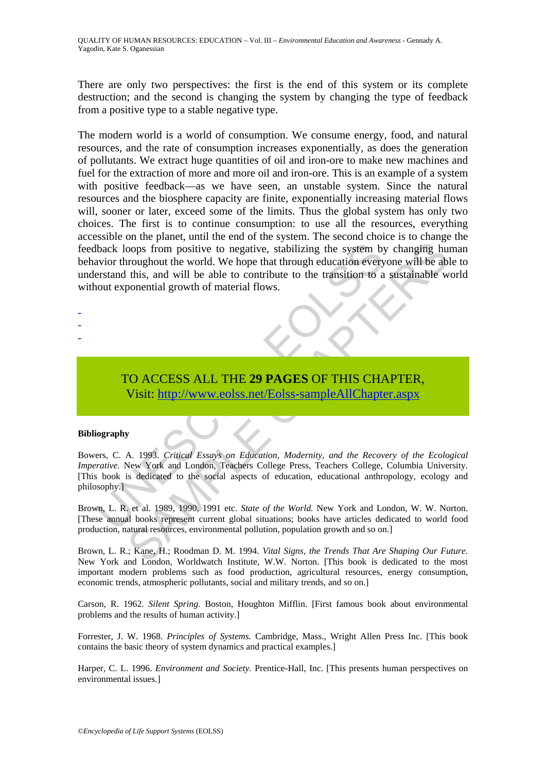There are only two perspectives: the first is the end of this system or its complete destruction; and the second is changing the system by changing the type of feedback from a positive type to a stable negative type.

back loops from positive to negative, stabilizing the system by<br>wivior throughout the world. We hope that through education every<br>erstand this, and will be able to contribute to the transition to a<br>out exponential growth o From positive to negative, stabilizing the system by changing human most<br>propositive to negative, stabilizing the system by changing human most<br>provided the world. We hope that through education everyone will be abe<br>this, The modern world is a world of consumption. We consume energy, food, and natural resources, and the rate of consumption increases exponentially, as does the generation of pollutants. We extract huge quantities of oil and iron-ore to make new machines and fuel for the extraction of more and more oil and iron-ore. This is an example of a system with positive feedback—as we have seen, an unstable system. Since the natural resources and the biosphere capacity are finite, exponentially increasing material flows will, sooner or later, exceed some of the limits. Thus the global system has only two choices. The first is to continue consumption: to use all the resources, everything accessible on the planet, until the end of the system. The second choice is to change the feedback loops from positive to negative, stabilizing the system by changing human behavior throughout the world. We hope that through education everyone will be able to understand this, and will be able to contribute to the transition to a sustainable world without exponential growth of material flows.

- -
- -
- -
- TO ACCESS ALL THE **29 PAGES** OF THIS CHAPTER, Visit: http://www.eolss.net/Eolss-sampleAllChapter.aspx

#### **Bibliography**

Bowers, C. A. 1993. *Critical Essays on Education, Modernity, and the Recovery of the Ecological Imperative.* New York and London, Teachers College Press, Teachers College, Columbia University. [This book is dedicated to the social aspects of education, educational anthropology, ecology and philosophy.]

Brown, L. R. et al. 1989, 1990, 1991 etc. *State of the World.* New York and London, W. W. Norton. [These annual books represent current global situations; books have articles dedicated to world food production, natural resources, environmental pollution, population growth and so on.]

Brown, L. R.; Kane, H.; Roodman D. M. 1994. *Vital Signs, the Trends That Are Shaping Our Future.* New York and London, Worldwatch Institute, W.W. Norton. [This book is dedicated to the most important modern problems such as food production, agricultural resources, energy consumption, economic trends, atmospheric pollutants, social and military trends, and so on.]

Carson, R. 1962. *Silent Spring.* Boston, Houghton Mifflin. [First famous book about environmental problems and the results of human activity.]

Forrester, J. W. 1968. *Principles of Systems.* Cambridge, Mass., Wright Allen Press Inc. [This book contains the basic theory of system dynamics and practical examples.]

Harper, C. L. 1996. *Environment and Society.* Prentice-Hall, Inc. [This presents human perspectives on environmental issues.]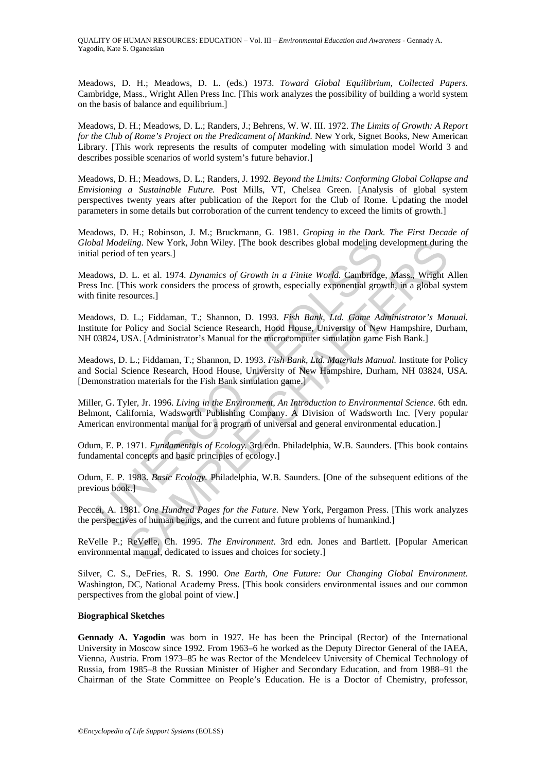Meadows, D. H.; Meadows, D. L. (eds.) 1973. *Toward Global Equilibrium, Collected Papers.*  Cambridge, Mass., Wright Allen Press Inc. [This work analyzes the possibility of building a world system on the basis of balance and equilibrium.]

Meadows, D. H.; Meadows, D. L.; Randers, J.; Behrens, W. W. III. 1972. *The Limits of Growth: A Report for the Club of Rome's Project on the Predicament of Mankind.* New York, Signet Books, New American Library. [This work represents the results of computer modeling with simulation model World 3 and describes possible scenarios of world system's future behavior.]

Meadows, D. H.; Meadows, D. L.; Randers, J. 1992. *Beyond the Limits: Conforming Global Collapse and Envisioning a Sustainable Future.* Post Mills, VT, Chelsea Green. [Analysis of global system perspectives twenty years after publication of the Report for the Club of Rome. Updating the model parameters in some details but corroboration of the current tendency to exceed the limits of growth.]

Meadows, D. H.; Robinson, J. M.; Bruckmann, G. 1981. *Groping in the Dark. The First Decade of Global Modeling*. New York, John Wiley. [The book describes global modeling development during the initial period of ten years.]

Meadows, D. L. et al. 1974. *Dynamics of Growth in a Finite World.* Cambridge, Mass., Wright Allen Press Inc. [This work considers the process of growth, especially exponential growth, in a global system with finite resources.]

Meadows, D. L.; Fiddaman, T.; Shannon, D. 1993. *Fish Bank, Ltd. Game Administrator's Manual.* Institute for Policy and Social Science Research, Hood House, University of New Hampshire, Durham, NH 03824, USA. [Administrator's Manual for the microcomputer simulation game Fish Bank.]

Meadows, D. L.; Fiddaman, T.; Shannon, D. 1993. *Fish Bank, Ltd. Materials Manual.* Institute for Policy and Social Science Research, Hood House, University of New Hampshire, Durham, NH 03824, USA. [Demonstration materials for the Fish Bank simulation game.]

all *Modeling.* New York, John Wiley. [The book describes global modeling dd period of ten years.]<br>
dows, D. L. et al. 1974. *Dynamics of Growth in a Finite World.* Cambridge Inc. [This work considers the process of growth *ling.* New York, John Wiley. [The book describes global modeling development durin<br>of ten years.]<br>L. L. et al. 1974. Dynamics of Growth in a Finite World. Cambridge, Mass., Wright 1.<br>L. et al. 1974. Dynamics of Growth in Miller, G. Tyler, Jr. 1996. *Living in the Environment, An Introduction to Environmental Science.* 6th edn. Belmont, California, Wadsworth Publishing Company. A Division of Wadsworth Inc. [Very popular American environmental manual for a program of universal and general environmental education.]

Odum, E. P. 1971. *Fundamentals of Ecology.* 3rd edn. Philadelphia, W.B. Saunders. [This book contains fundamental concepts and basic principles of ecology.]

Odum, E. P. 1983. *Basic Ecology.* Philadelphia, W.B. Saunders. [One of the subsequent editions of the previous book.]

Peccei, A. 1981. *One Hundred Pages for the Future.* New York, Pergamon Press. [This work analyzes the perspectives of human beings, and the current and future problems of humankind.]

ReVelle P.; ReVelle, Ch. 1995. *The Environment*. 3rd edn*.* Jones and Bartlett. [Popular American environmental manual, dedicated to issues and choices for society.]

Silver, C. S., DeFries, R. S. 1990. *One Earth, One Future: Our Changing Global Environment*. Washington, DC, National Academy Press. [This book considers environmental issues and our common perspectives from the global point of view.]

#### **Biographical Sketches**

**Gennady A. Yagodin** was born in 1927. He has been the Principal (Rector) of the International University in Moscow since 1992. From 1963–6 he worked as the Deputy Director General of the IAEA, Vienna, Austria. From 1973–85 he was Rector of the Mendeleev University of Chemical Technology of Russia, from 1985–8 the Russian Minister of Higher and Secondary Education, and from 1988–91 the Chairman of the State Committee on People's Education. He is a Doctor of Chemistry, professor,